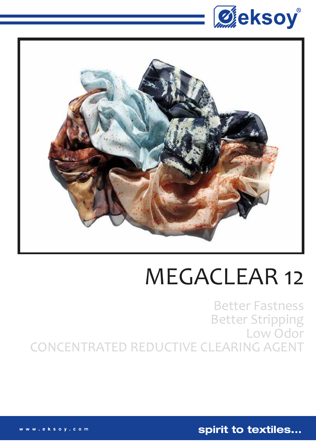



## MEGACLEAR 12

Better Fastness Better Stripping Low Odor CONCENTRATED REDUCTIVE CLEARING AGENT

spirit to textiles...

. eksoy.com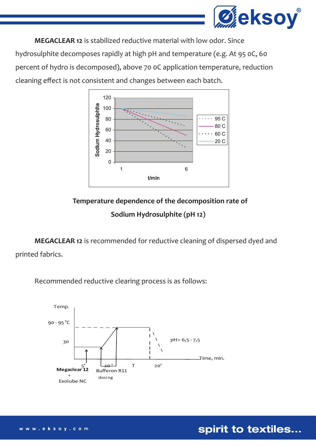

 **MEGACLEAR 12** is stabilized reductive material with low odor. Since hydrosulphite decomposes rapidly at high pH and temperature (e.g. At 95 0C, 60 percent of hydro is decomposed), above 70 0C application temperature, reduction cleaning effect is not consistent and changes between each batch.



 **Temperature dependence of the decomposition rate of Sodium Hydrosulphite (pH 12)**

**MEGACLEAR 12** is recommended for reductive cleaning of dispersed dyed and printed fabrics.

Recommended reductive clearing process is as follows:



spirit to textiles...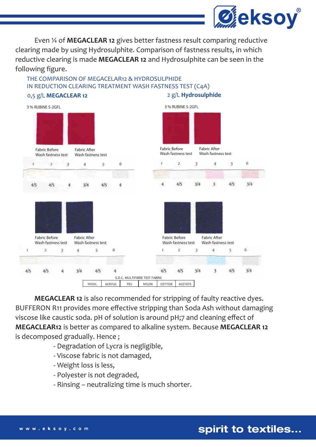

 Even ¼ of **MEGACLEAR 12** gives better fastness result comparing reductive clearing made by using Hydrosulphite. Comparison of fastness results, in which reductive clearing is made **MEGACLEAR 12** and Hydrosulphite can be seen in the following figure.

## THE COMPARISON OF MEGACELAR12 & HYDROSULPHIDE IN REDUCTION CLEARING TREATMENT WASH FASTNESS TEST (C4A)



**MEGACLEAR 12** is also recommended for stripping of faulty reactive dyes. BUFFERON R11 provides more effective stripping than Soda Ash without damaging viscose like caustic soda. pH of solution is around pH;7 and cleaning effect of **MEGACLEAR12** is better as compared to alkaline system. Because **MEGACLEAR 12**  is decomposed gradually. Hence ;

- Degradation of Lycra is negligible,
- Viscose fabric is not damaged,
- Weight loss is less,
- Polyester is not degraded,
- Rinsing neutralizing time is much shorter.